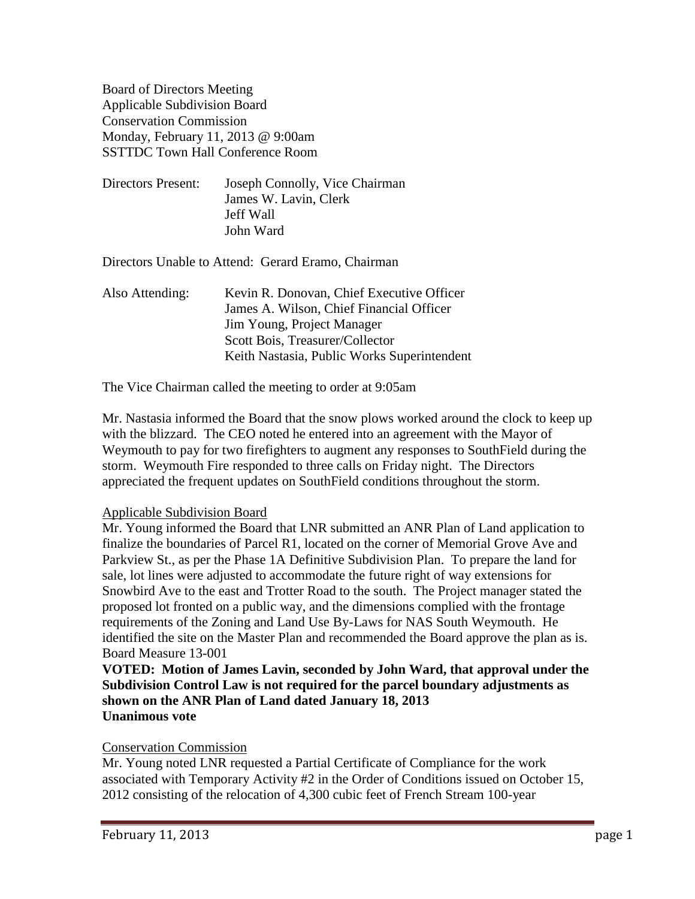Board of Directors Meeting Applicable Subdivision Board Conservation Commission Monday, February 11, 2013 @ 9:00am SSTTDC Town Hall Conference Room

Directors Present: Joseph Connolly, Vice Chairman James W. Lavin, Clerk Jeff Wall John Ward

Directors Unable to Attend: Gerard Eramo, Chairman

Also Attending: Kevin R. Donovan, Chief Executive Officer James A. Wilson, Chief Financial Officer Jim Young, Project Manager Scott Bois, Treasurer/Collector Keith Nastasia, Public Works Superintendent

The Vice Chairman called the meeting to order at 9:05am

Mr. Nastasia informed the Board that the snow plows worked around the clock to keep up with the blizzard. The CEO noted he entered into an agreement with the Mayor of Weymouth to pay for two firefighters to augment any responses to SouthField during the storm. Weymouth Fire responded to three calls on Friday night. The Directors appreciated the frequent updates on SouthField conditions throughout the storm.

# Applicable Subdivision Board

Mr. Young informed the Board that LNR submitted an ANR Plan of Land application to finalize the boundaries of Parcel R1, located on the corner of Memorial Grove Ave and Parkview St., as per the Phase 1A Definitive Subdivision Plan. To prepare the land for sale, lot lines were adjusted to accommodate the future right of way extensions for Snowbird Ave to the east and Trotter Road to the south. The Project manager stated the proposed lot fronted on a public way, and the dimensions complied with the frontage requirements of the Zoning and Land Use By-Laws for NAS South Weymouth. He identified the site on the Master Plan and recommended the Board approve the plan as is. Board Measure 13-001

**VOTED: Motion of James Lavin, seconded by John Ward, that approval under the Subdivision Control Law is not required for the parcel boundary adjustments as shown on the ANR Plan of Land dated January 18, 2013 Unanimous vote**

# Conservation Commission

Mr. Young noted LNR requested a Partial Certificate of Compliance for the work associated with Temporary Activity #2 in the Order of Conditions issued on October 15, 2012 consisting of the relocation of 4,300 cubic feet of French Stream 100-year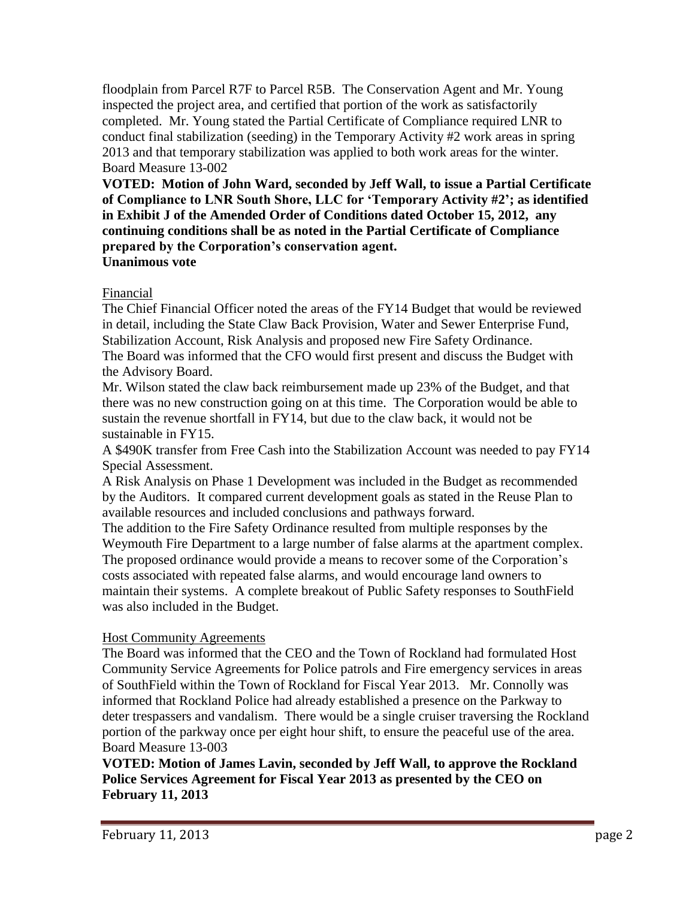floodplain from Parcel R7F to Parcel R5B. The Conservation Agent and Mr. Young inspected the project area, and certified that portion of the work as satisfactorily completed. Mr. Young stated the Partial Certificate of Compliance required LNR to conduct final stabilization (seeding) in the Temporary Activity #2 work areas in spring 2013 and that temporary stabilization was applied to both work areas for the winter. Board Measure 13-002

**VOTED: Motion of John Ward, seconded by Jeff Wall, to issue a Partial Certificate of Compliance to LNR South Shore, LLC for 'Temporary Activity #2'; as identified in Exhibit J of the Amended Order of Conditions dated October 15, 2012, any continuing conditions shall be as noted in the Partial Certificate of Compliance prepared by the Corporation's conservation agent. Unanimous vote**

# Financial

The Chief Financial Officer noted the areas of the FY14 Budget that would be reviewed in detail, including the State Claw Back Provision, Water and Sewer Enterprise Fund, Stabilization Account, Risk Analysis and proposed new Fire Safety Ordinance. The Board was informed that the CFO would first present and discuss the Budget with the Advisory Board.

Mr. Wilson stated the claw back reimbursement made up 23% of the Budget, and that there was no new construction going on at this time. The Corporation would be able to sustain the revenue shortfall in FY14, but due to the claw back, it would not be sustainable in FY15.

A \$490K transfer from Free Cash into the Stabilization Account was needed to pay FY14 Special Assessment.

A Risk Analysis on Phase 1 Development was included in the Budget as recommended by the Auditors. It compared current development goals as stated in the Reuse Plan to available resources and included conclusions and pathways forward.

The addition to the Fire Safety Ordinance resulted from multiple responses by the Weymouth Fire Department to a large number of false alarms at the apartment complex. The proposed ordinance would provide a means to recover some of the Corporation's costs associated with repeated false alarms, and would encourage land owners to maintain their systems. A complete breakout of Public Safety responses to SouthField was also included in the Budget.

# Host Community Agreements

The Board was informed that the CEO and the Town of Rockland had formulated Host Community Service Agreements for Police patrols and Fire emergency services in areas of SouthField within the Town of Rockland for Fiscal Year 2013. Mr. Connolly was informed that Rockland Police had already established a presence on the Parkway to deter trespassers and vandalism. There would be a single cruiser traversing the Rockland portion of the parkway once per eight hour shift, to ensure the peaceful use of the area. Board Measure 13-003

**VOTED: Motion of James Lavin, seconded by Jeff Wall, to approve the Rockland Police Services Agreement for Fiscal Year 2013 as presented by the CEO on February 11, 2013**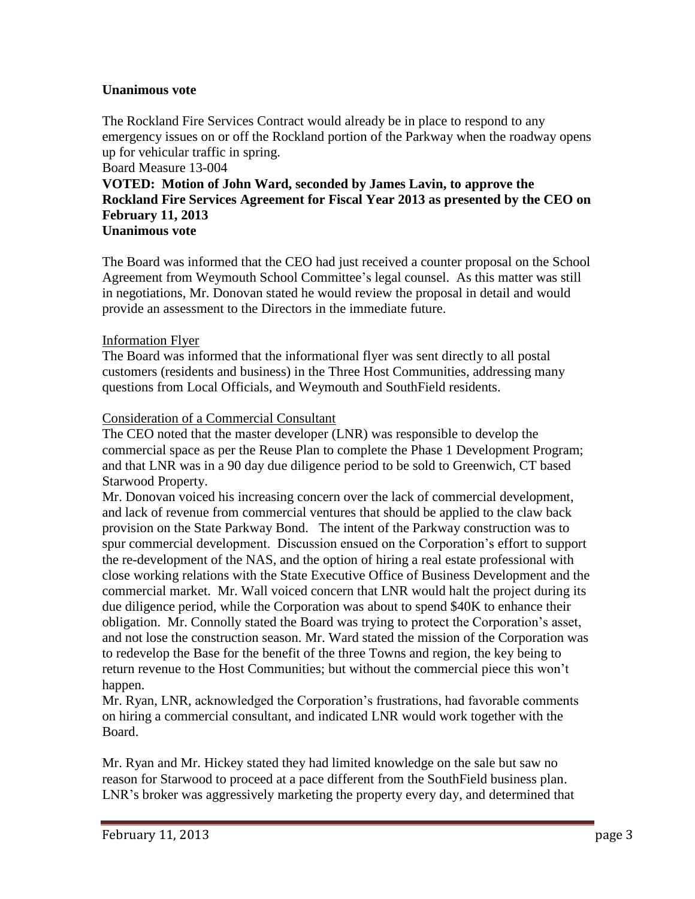# **Unanimous vote**

The Rockland Fire Services Contract would already be in place to respond to any emergency issues on or off the Rockland portion of the Parkway when the roadway opens up for vehicular traffic in spring.

#### Board Measure 13-004

# **VOTED: Motion of John Ward, seconded by James Lavin, to approve the Rockland Fire Services Agreement for Fiscal Year 2013 as presented by the CEO on February 11, 2013 Unanimous vote**

The Board was informed that the CEO had just received a counter proposal on the School Agreement from Weymouth School Committee's legal counsel. As this matter was still in negotiations, Mr. Donovan stated he would review the proposal in detail and would provide an assessment to the Directors in the immediate future.

# Information Flyer

The Board was informed that the informational flyer was sent directly to all postal customers (residents and business) in the Three Host Communities, addressing many questions from Local Officials, and Weymouth and SouthField residents.

# Consideration of a Commercial Consultant

The CEO noted that the master developer (LNR) was responsible to develop the commercial space as per the Reuse Plan to complete the Phase 1 Development Program; and that LNR was in a 90 day due diligence period to be sold to Greenwich, CT based Starwood Property.

Mr. Donovan voiced his increasing concern over the lack of commercial development, and lack of revenue from commercial ventures that should be applied to the claw back provision on the State Parkway Bond. The intent of the Parkway construction was to spur commercial development. Discussion ensued on the Corporation's effort to support the re-development of the NAS, and the option of hiring a real estate professional with close working relations with the State Executive Office of Business Development and the commercial market. Mr. Wall voiced concern that LNR would halt the project during its due diligence period, while the Corporation was about to spend \$40K to enhance their obligation. Mr. Connolly stated the Board was trying to protect the Corporation's asset, and not lose the construction season. Mr. Ward stated the mission of the Corporation was to redevelop the Base for the benefit of the three Towns and region, the key being to return revenue to the Host Communities; but without the commercial piece this won't happen.

Mr. Ryan, LNR, acknowledged the Corporation's frustrations, had favorable comments on hiring a commercial consultant, and indicated LNR would work together with the Board.

Mr. Ryan and Mr. Hickey stated they had limited knowledge on the sale but saw no reason for Starwood to proceed at a pace different from the SouthField business plan. LNR's broker was aggressively marketing the property every day, and determined that